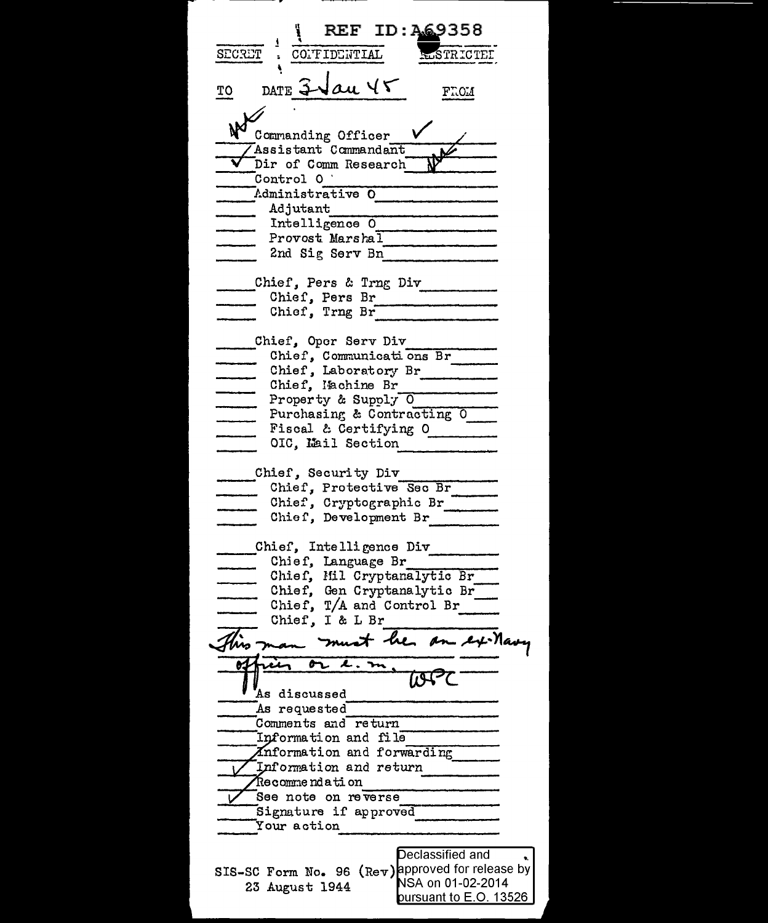**REF ID: A69358 LSTRICTEL** SECRET CONFIDENTIAL DATE  $3$ Vau Y $5$ TO FT.OM N Commanding Officer Assistant Commandant Dir of Comm Research Control O Administrative O Adjutant Intelligence O Provost Marshal 2nd Sig Serv Bn Chief, Pers & Trng Div Chief, Pers Br Chief, Trng Br Chief, Communications Br<br>
- Chief, Communications Br<br>
- Chief, Laboratory Br<br>
- Chief, Laboratory Br<br>
- Property & Supply O<br>
- Purchasing & Contracting O<br>
- Fiscal & Certifving O OIC, Mail Section Chief, Security Div Chief, Protective Sec Br Chief, Cryptographic Br Chief, Development Br Chief, Intelligence Div Chief, Language Br Chief, Mil Cryptanalytic Br<br>Chief, Gen Cryptanalytic Br<br>Chief, T/A and Control Br<br>Chief, I & L Br Chief, I & L Br hrs " at he an ex-Mary or. As discussed As requested Comments and return Information and file Anformation and forwarding Information and return Recommendation See note on reverse Signature if approved Your action Declassified and SIS-SC Form No. 96 (Rev)approved for release by NSA on 01-02-2014 23 August 1944 pursuant to E.O. 13526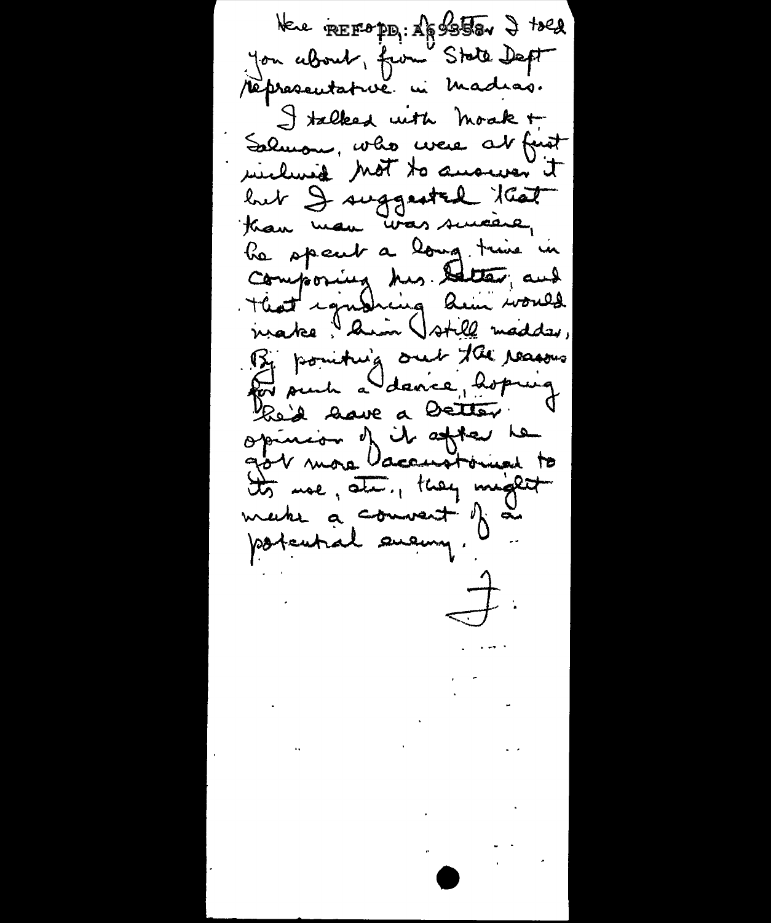Here FREEDPDI: Apster 2 told you about, from State Deft répresentativé in Madias. I talked with moak + Salmon, who were at first wiching Mot to answer it but I suggested that than man was suicare, he spent a long time in composing his better, and make "Amin Vstill madder, By pointing out the reasons Por such a dance, hoping Red lave a Detter opinion of it after he tts moe, ste, they might make a convent of a potential eveny.  $\overrightarrow{a}$  $\mathcal{L}^{\text{max}}_{\text{max}}$  and  $\mathcal{L}^{\text{max}}_{\text{max}}$  $\mathcal{L}^{\mathcal{L}}(\mathcal{A})$  and  $\mathcal{L}^{\mathcal{L}}(\mathcal{A})$  and  $\mathcal{L}^{\mathcal{L}}(\mathcal{A})$  $\mathcal{L}(\mathcal{L})$  and  $\mathcal{L}(\mathcal{L})$  . In the  $\mathcal{L}(\mathcal{L})$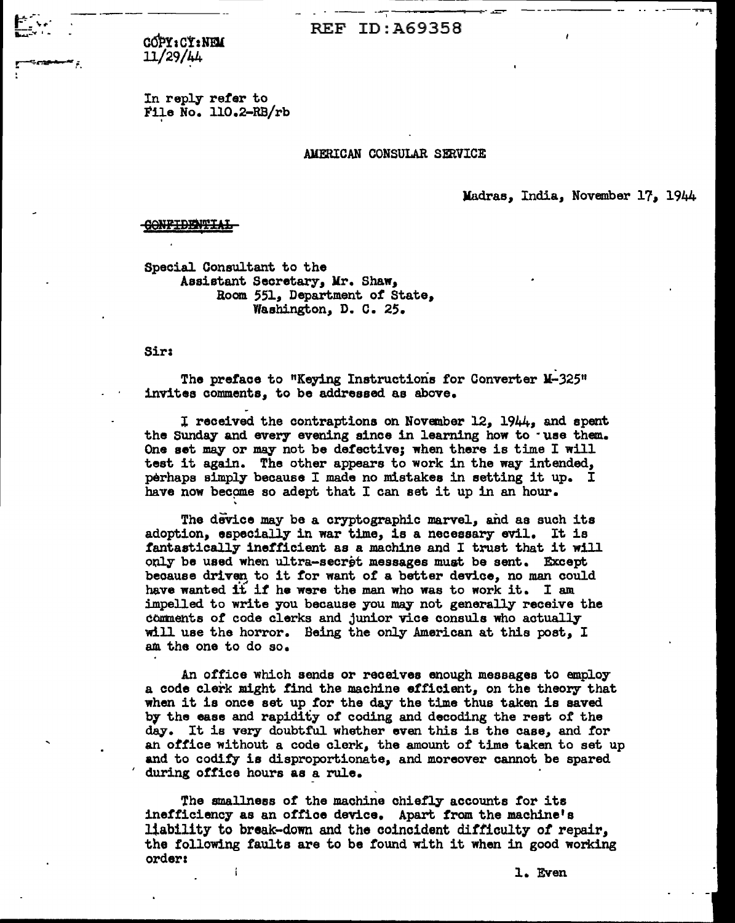--·-------- --- ---;---------·-..&:::::""" ---- --- REF ID:A69358

c6PYact:NmL 11/29/44

&-· .- - *,:-*-....... .:::.:....- I "'

> In reply refer to Fife No. 110.2-RB/rb

## AMFRICAN CONSULAR SERVICE

Madras, India, November l?, 1944

<del>CONFIDENTIAL</del>

Special Consultant to the Assistant Secretary, Mr. Shaw, Room 551, Department of State, Washington, D. C. 25.

Sir:

The preface to "Keying Instructions for Converter M-325" invites comments, to be addressed as above.

I received the contraptions on November 12, 1944, and spent the Sunday and every evening since in learning how to -use them. One aet may or may not be detective; when there is time I will test it again. The other appears to work in the way intended, perhaps simply because I made no mistakes in setting it up. I have now become so adept that I can set it up in an hour.<br>The device may be a cryptographic marvel, and as such its

adoption, especially in war time, is a necessary evil. It is fantastically inefficient as a machine and I trust that it will only be used when ultra-secret messages must be sent. Except because driven to it for want of a better device, no man could have wanted it if he were the man who was to work it. I am impelled to write you because you may not generally receive the comments of code clerks and junior vice consuls who actually will use the horror. Being the only American at this poet, I am. the one to do so.

An office which sends or receives enough messages to employ a code clerk might find the machine efficient, on the theory that when it is once set up tor the day the time thus taken is saved by the ease and rapidity of coding and decoding the rest of the day. It is very doubtful whether even this is the case, and for an office without a code clerk, the amount of time taken to set up and to codify is disproportionate, and moreover cannot be spared during office hours as a rule.

The smallness of the machine chiefly accounts for its inefficiency as an office device. Apart from the machine's liability to break-down and the coincident difficulty of repair, the following faults are to be found with it when in good working orders

1. Even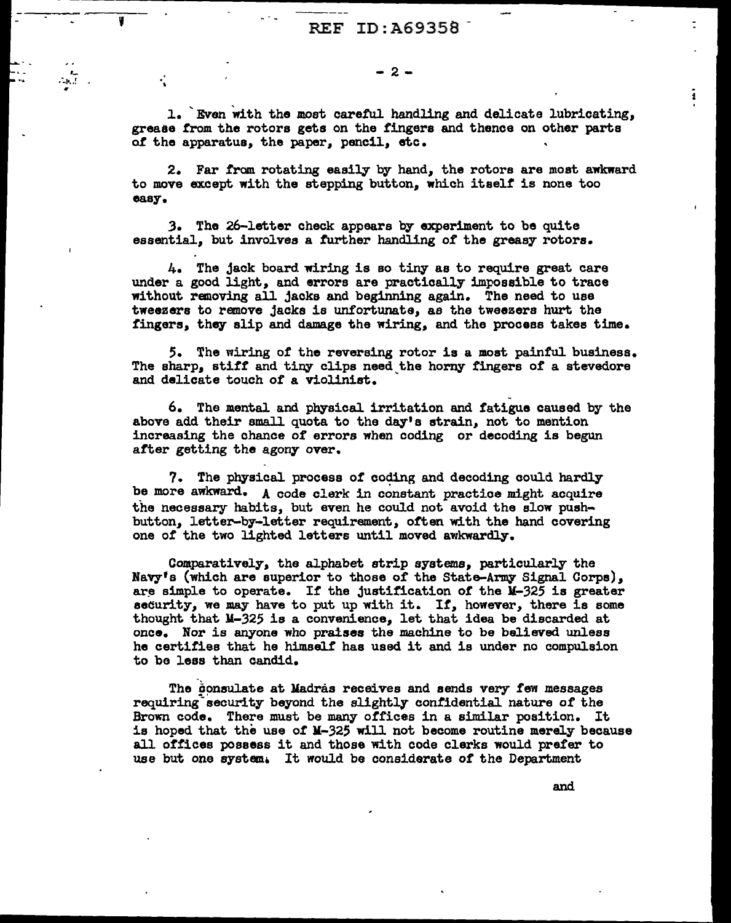--------'

,\_ .:.~ .. ! "

·.

1. 'Even with the most careful. handling and delicate lubricating, greaae from the rotors gets on the fingers and thence on other parts of the apparatus, the paper, pencil, etc.

2. Far from rotating easily by hand, the rotors are most awkward to move except with the stepping button, which itself is none too easy •

.3. The 26-letter check appears by experiment to be quite essential, but involves a further handling of the greasy rotors.

4. The jack board wiring is so tiny as to require great care under a good light, and errors are practically impossible to trace without removing all jacks and beginning again. The need to use tweezers to remove jacks is unfortunate, as the tweezers hurt the fingers, they slip and damage the wiring, and the process takes time.

*5.* The wiring of the reversing rotor is a moat paintul business. The sharp, stiff and tiny clips need the horny fingers of a stevedore and delicate touch of a violinist.

6. The mental and physical irritation and f'atigue caused by the above add their small quota to the day's strain, not to mention increasing the chance of errors when coding or decoding is begun after getting the agony over.

7. The physical process of coding and decoding could hardly be more awkward. A code clerk in constant practice might acquire the necessary habits, but even he could not avoid the slow pushbutton, ietter-by-letter requirement, often with the hand covering one of the two lighted letters until moved awkwardly.

Comparatively, the alphabet strip systems, particularly the Navy's (which are superior to those of the State-Army Signal Corps), are simple to operate. If the justification of the  $M-325$  is greater security, we may have to put up with it. If, however, there is some thought that ll-325 is a convenience, let that idea be discarded at once. Nor is anyone who praises the machine to be believed unless he certifies that he himself has used it and is under no compulsion to be less than candid.

The consulate at Madras receives and sends very few messages requiring-security beyond the slightly confidential nature or the Brown code. There must be many offices in a similar position. It is hoped that the use of M-325 will not become routine merely because all offices possess it and those with code clerks would prefer to use but one system. It would be considerate of the Department

and

ī